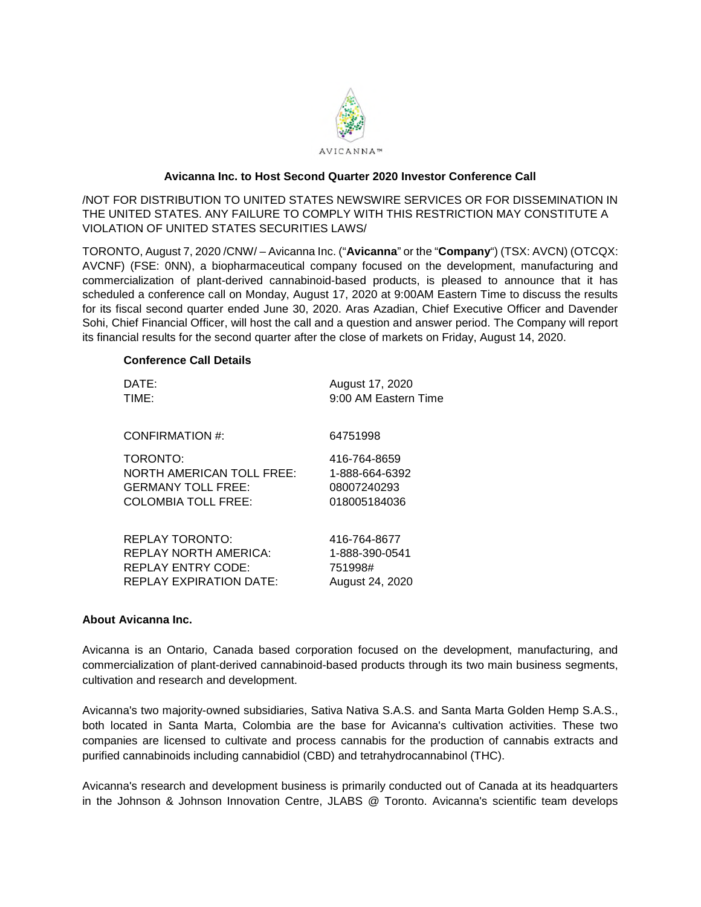

# **Avicanna Inc. to Host Second Quarter 2020 Investor Conference Call**

/NOT FOR DISTRIBUTION TO UNITED STATES NEWSWIRE SERVICES OR FOR DISSEMINATION IN THE UNITED STATES. ANY FAILURE TO COMPLY WITH THIS RESTRICTION MAY CONSTITUTE A VIOLATION OF UNITED STATES SECURITIES LAWS/

TORONTO, August 7, 2020 /CNW/ – Avicanna Inc. ("**Avicanna**" or the "**Company**") (TSX: AVCN) (OTCQX: AVCNF) (FSE: 0NN), a biopharmaceutical company focused on the development, manufacturing and commercialization of plant-derived cannabinoid-based products, is pleased to announce that it has scheduled a conference call on Monday, August 17, 2020 at 9:00AM Eastern Time to discuss the results for its fiscal second quarter ended June 30, 2020. Aras Azadian, Chief Executive Officer and Davender Sohi, Chief Financial Officer, will host the call and a question and answer period. The Company will report its financial results for the second quarter after the close of markets on Friday, August 14, 2020.

## **Conference Call Details**

| DATE:                            | August 17, 2020      |
|----------------------------------|----------------------|
| TIME:                            | 9:00 AM Eastern Time |
| CONFIRMATION #:                  | 64751998             |
| TORONTO:                         | 416-764-8659         |
| <b>NORTH AMERICAN TOLL FREE:</b> | 1-888-664-6392       |
| <b>GERMANY TOLL FREE:</b>        | 08007240293          |
| COLOMBIA TOLL FREE:              | 018005184036         |
| <b>REPLAY TORONTO:</b>           | 416-764-8677         |
| <b>REPLAY NORTH AMERICA:</b>     | 1-888-390-0541       |
| <b>REPLAY ENTRY CODE:</b>        | 751998#              |
| <b>REPLAY EXPIRATION DATE:</b>   | August 24, 2020      |

## **About Avicanna Inc.**

Avicanna is an Ontario, Canada based corporation focused on the development, manufacturing, and commercialization of plant-derived cannabinoid-based products through its two main business segments, cultivation and research and development.

Avicanna's two majority-owned subsidiaries, Sativa Nativa S.A.S. and Santa Marta Golden Hemp S.A.S., both located in Santa Marta, Colombia are the base for Avicanna's cultivation activities. These two companies are licensed to cultivate and process cannabis for the production of cannabis extracts and purified cannabinoids including cannabidiol (CBD) and tetrahydrocannabinol (THC).

Avicanna's research and development business is primarily conducted out of Canada at its headquarters in the Johnson & Johnson Innovation Centre, JLABS @ Toronto. Avicanna's scientific team develops